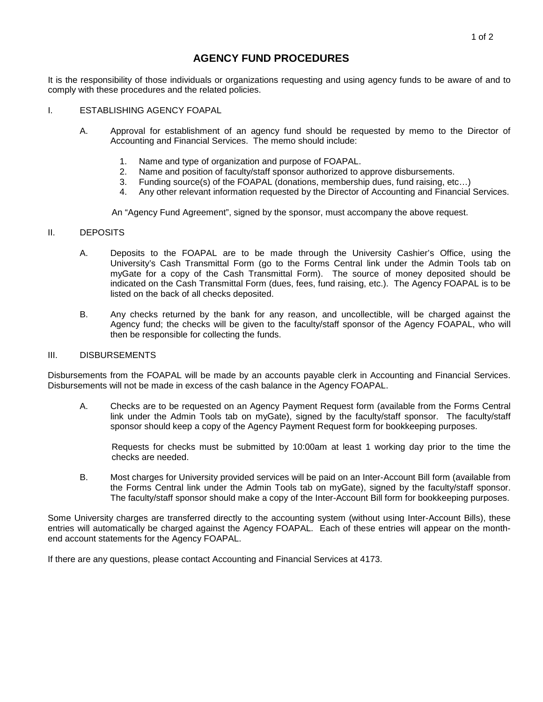# **AGENCY FUND PROCEDURES**

It is the responsibility of those individuals or organizations requesting and using agency funds to be aware of and to comply with these procedures and the related policies.

- I. ESTABLISHING AGENCY FOAPAL
	- A. Approval for establishment of an agency fund should be requested by memo to the Director of Accounting and Financial Services. The memo should include:
		- 1. Name and type of organization and purpose of FOAPAL.
		- 2. Name and position of faculty/staff sponsor authorized to approve disbursements.<br>3. Funding source(s) of the FOAPAL (donations, membership dues, fund raising, etc.
		- Funding source(s) of the FOAPAL (donations, membership dues, fund raising, etc...)
		- 4. Any other relevant information requested by the Director of Accounting and Financial Services.

An "Agency Fund Agreement", signed by the sponsor, must accompany the above request.

#### II. DEPOSITS

- A. Deposits to the FOAPAL are to be made through the University Cashier's Office, using the University's Cash Transmittal Form (go to the Forms Central link under the Admin Tools tab on myGate for a copy of the Cash Transmittal Form). The source of money deposited should be indicated on the Cash Transmittal Form (dues, fees, fund raising, etc.). The Agency FOAPAL is to be listed on the back of all checks deposited.
- B. Any checks returned by the bank for any reason, and uncollectible, will be charged against the Agency fund; the checks will be given to the faculty/staff sponsor of the Agency FOAPAL, who will then be responsible for collecting the funds.

#### III. DISBURSEMENTS

Disbursements from the FOAPAL will be made by an accounts payable clerk in Accounting and Financial Services. Disbursements will not be made in excess of the cash balance in the Agency FOAPAL.

A. Checks are to be requested on an Agency Payment Request form (available from the Forms Central link under the Admin Tools tab on myGate), signed by the faculty/staff sponsor. The faculty/staff sponsor should keep a copy of the Agency Payment Request form for bookkeeping purposes.

Requests for checks must be submitted by 10:00am at least 1 working day prior to the time the checks are needed.

B. Most charges for University provided services will be paid on an Inter-Account Bill form (available from the Forms Central link under the Admin Tools tab on myGate), signed by the faculty/staff sponsor. The faculty/staff sponsor should make a copy of the Inter-Account Bill form for bookkeeping purposes.

Some University charges are transferred directly to the accounting system (without using Inter-Account Bills), these entries will automatically be charged against the Agency FOAPAL. Each of these entries will appear on the monthend account statements for the Agency FOAPAL.

If there are any questions, please contact Accounting and Financial Services at 4173.